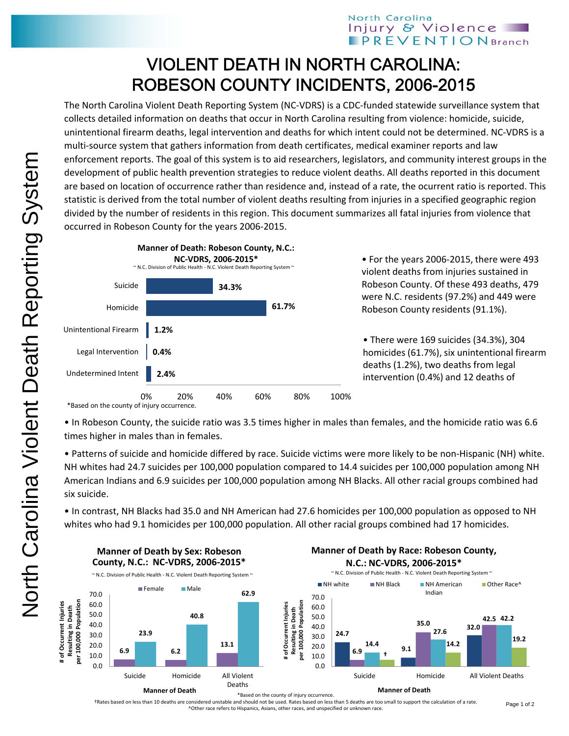## North Carolina Injury & Violence **PREVENTIONBranch**

## VIOLENT DEATH IN NORTH CAROLINA: ROBESON COUNTY INCIDENTS, 2006-2015

The North Carolina Violent Death Reporting System (NC‐VDRS) is a CDC‐funded statewide surveillance system that collects detailed information on deaths that occur in North Carolina resulting from violence: homicide, suicide, unintentional firearm deaths, legal intervention and deaths for which intent could not be determined. NC‐VDRS is a multi-source system that gathers information from death certificates, medical examiner reports and law enforcement reports. The goal of this system is to aid researchers, legislators, and community interest groups in the development of public health prevention strategies to reduce violent deaths. All deaths reported in this document are based on location of occurrence rather than residence and, instead of a rate, the ocurrent ratio is reported. This statistic is derived from the total number of violent deaths resulting from injuries in a specified geographic region divided by the number of residents in this region. This document summarizes all fatal injuries from violence that occurred in Robeson County for the years 2006‐2015.



• For the years 2006‐2015, there were 493 violent deaths from injuries sustained in Robeson County. Of these 493 deaths, 479 were N.C. residents (97.2%) and 449 were Robeson County residents (91.1%).

• There were 169 suicides (34.3%), 304 homicides (61.7%), six unintentional firearm deaths (1.2%), two deaths from legal intervention (0.4%) and 12 deaths of

**Manner of Death by Race: Robeson County,**

\*Based on the county of injury occurrence.

**Manner of Death by Sex: Robeson**

• In Robeson County, the suicide ratio was 3.5 times higher in males than females, and the homicide ratio was 6.6 times higher in males than in females.

• Patterns of suicide and homicide differed by race. Suicide victims were more likely to be non‐Hispanic (NH) white. NH whites had 24.7 suicides per 100,000 population compared to 14.4 suicides per 100,000 population among NH American Indians and 6.9 suicides per 100,000 population among NH Blacks. All other racial groups combined had six suicide.

• In contrast, NH Blacks had 35.0 and NH American had 27.6 homicides per 100,000 population as opposed to NH whites who had 9.1 homicides per 100,000 population. All other racial groups combined had 17 homicides.



†Rates based on less than 10 deaths are considered unstable and should not be used. Rates based on less than 5 deaths are too small to support the calculation of a rate. ^Other race refers to Hispanics, Asians, other races, and unspecified or unknown race.